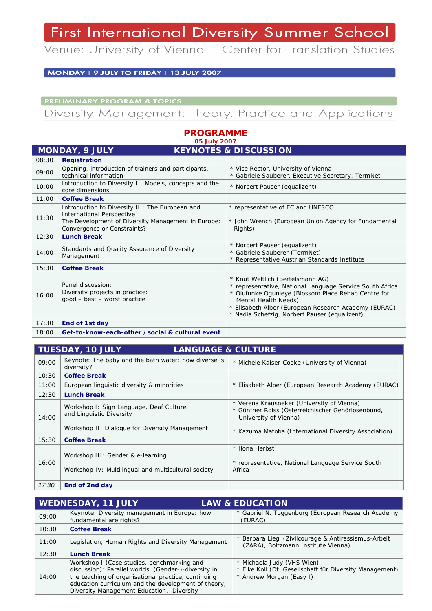## First International Diversity Summer School

Venue: University of Vienna - Center for Translation Studies

MONDAY | 9 JULY TO FRIDAY | 13 JULY 2007

**PRELIMINARY PROGRAM & TOPICS** 

Diversity Management: Theory, Practice and Applications

**PROGRAMME** 

| 05 July 2007                                              |                                                                                                                                                                         |                                                                                                                                                                                                                                                                                      |  |  |
|-----------------------------------------------------------|-------------------------------------------------------------------------------------------------------------------------------------------------------------------------|--------------------------------------------------------------------------------------------------------------------------------------------------------------------------------------------------------------------------------------------------------------------------------------|--|--|
| <b>MONDAY, 9 JULY</b><br><b>KEYNOTES &amp; DISCUSSION</b> |                                                                                                                                                                         |                                                                                                                                                                                                                                                                                      |  |  |
| 08:30                                                     | <b>Registration</b>                                                                                                                                                     |                                                                                                                                                                                                                                                                                      |  |  |
| 09:00                                                     | Opening, introduction of trainers and participants,<br>technical information                                                                                            | * Vice Rector, University of Vienna<br>* Gabriele Sauberer, Executive Secretary, TermNet                                                                                                                                                                                             |  |  |
| 10:00                                                     | Introduction to Diversity I: Models, concepts and the<br>core dimensions                                                                                                | * Norbert Pauser (equalizent)                                                                                                                                                                                                                                                        |  |  |
| 11:00                                                     | <b>Coffee Break</b>                                                                                                                                                     |                                                                                                                                                                                                                                                                                      |  |  |
| 11:30                                                     | Introduction to Diversity II: The European and<br><b>International Perspective</b><br>The Development of Diversity Management in Europe:<br>Convergence or Constraints? | * representative of EC and UNESCO<br>* John Wrench (European Union Agency for Fundamental<br>Rights)                                                                                                                                                                                 |  |  |
| 12:30                                                     | <b>Lunch Break</b>                                                                                                                                                      |                                                                                                                                                                                                                                                                                      |  |  |
| 14:00                                                     | Standards and Quality Assurance of Diversity<br>Management                                                                                                              | * Norbert Pauser (equalizent)<br>* Gabriele Sauberer (TermNet)<br>* Representative Austrian Standards Institute                                                                                                                                                                      |  |  |
| 15:30                                                     | <b>Coffee Break</b>                                                                                                                                                     |                                                                                                                                                                                                                                                                                      |  |  |
| 16:00                                                     | Panel discussion:<br>Diversity projects in practice:<br>good - best - worst practice                                                                                    | * Knut Weltlich (Bertelsmann AG)<br>* representative, National Language Service South Africa<br>* Olufunke Ogunleye (Blossom Place Rehab Centre for<br>Mental Health Needs)<br>* Elisabeth Alber (European Research Academy (EURAC)<br>* Nadia Schefzig, Norbert Pauser (equalizent) |  |  |
| 17:30                                                     | End of 1st day                                                                                                                                                          |                                                                                                                                                                                                                                                                                      |  |  |
| 18:00                                                     | Get-to-know-each-other / social & cultural event                                                                                                                        |                                                                                                                                                                                                                                                                                      |  |  |

**TUESDAY, 10 JULY LANGUAGE & CULTURE** 09:00 Keynote: The baby and the bath water: how diverse is diversity? \* Michèle Kaiser-Cooke (University of Vienna) 10:30 **Coffee Break** 11:00 European linguistic diversity & minorities \* Elisabeth Alber (European Research Academy (EURAC) 12:30 **Lunch Break** 14:00 Workshop I: Sign Language, Deaf Culture and Linguistic Diversity Workshop II: Dialogue for Diversity Management \* Verena Krausneker (University of Vienna) \* Günther Roiss (Österreichischer Gehörlosenbund, University of Vienna) \* Kazuma Matoba (International Diversity Association) 15:30 **Coffee Break** 16:00 Workshop III: Gender & e-learning Workshop IV: Multilingual and multicultural society \* Ilona Herbst \* representative, National Language Service South Africa

*17:30* **End of 2nd day** 

| WEDNESDAY, 11 JULY<br><b>LAW &amp; EDUCATION</b> |                                                                                                                                                                                                                                                               |                                                                                                                 |
|--------------------------------------------------|---------------------------------------------------------------------------------------------------------------------------------------------------------------------------------------------------------------------------------------------------------------|-----------------------------------------------------------------------------------------------------------------|
| 09:00                                            | Keynote: Diversity management in Europe: how<br>fundamental are rights?                                                                                                                                                                                       | * Gabriel N. Toggenburg (European Research Academy<br>(EURAC)                                                   |
| 10:30                                            | <b>Coffee Break</b>                                                                                                                                                                                                                                           |                                                                                                                 |
| 11:00                                            | Legislation, Human Rights and Diversity Management                                                                                                                                                                                                            | * Barbara Liegl (Zivilcourage & Antirassismus-Arbeit<br>(ZARA), Boltzmann Institute Vienna)                     |
| 12:30                                            | <b>Lunch Break</b>                                                                                                                                                                                                                                            |                                                                                                                 |
| 14:00                                            | Workshop I (Case studies, benchmarking and<br>discussion): Parallel worlds. (Gender-)-diversity in<br>the teaching of organisational practice, continuing<br>education curriculum and the development of theory;<br>Diversity Management Education, Diversity | * Michaela Judy (VHS Wien)<br>Elke Koll (Dt. Gesellschaft für Diversity Management)<br>* Andrew Morgan (Easy I) |